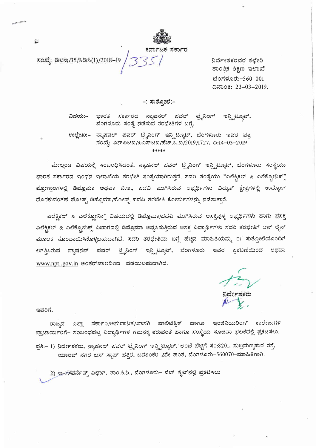

ಕರ್ನಾಟಕ ಸರ್ಕಾರ

ಸಂಖ್ಯೆ: ಡಿಟಿಇ/35/ಸಿಡಿಸಿ(1)/2018-19

ನಿರ್ದೇಶಕರವರ ಕಛೇರಿ ತಾಂತ್ರಿಕ ಶಿಕ್ಷಣ ಇಲಾಖೆ ಬೆಂಗಳೂರು-560 001 ದಿನಾಂಕ: 23-03-2019.

## -: ಸುತೋಲೆ:–

ಭಾರತ ಸರ್ಕಾರದ ನ್ಯಾಷನಲ್ ಪವರ್ ಟ್ರೈನಿಂಗ್ ಇನ್ಸ್ಟಿಟ್ಯೂಟ್, ವಿಷಯ:– ಬೆಂಗಳೂರು ಸಂಸ್ಥೆ ನಡೆಸುವ ತರಭೇತಿಗಳ ಬಗ್ಗೆ.

ಉಲ್ಲೇಖ:– ನ್ಯಾಷನಲ್ ಪವರ್ ಟ್ರೈನಿಂಗ್ ಇನ್ಸ್ಟಿಟ್ಯೂಟ್, ಬೆಂಗಳೂರು ಇವರ ಪತ್ರ ಸಂಖ್ಯೆ: ಎನ್ಪಿಟಿಐ/ಪಿಎಸ್ಟಿಐ/ಹೆಚ್.ಒ.ಐ/2019/1727, ದಿ:14-03-2019 \*\*\*\*\*

ಮೇಲ್ಕಂಡ ವಿಷಯಕ್ಕೆ ಸಂಬಂಧಿಸಿದಂತೆ, ನ್ಯಾಷನಲ್ ಪವರ್ ಟ್ರೈನಿಂಗ್ ಇನ್ಸ್ಟಿಟ್ಯೂಟ್, ಬೆಂಗಳೂರು ಸಂಸ್ಥೆಯು ಭಾರತ ಸರ್ಕಾರದ ಇಂಧನ ಇಲಾಖೆಯ ತರಭೇತಿ ಸಂಸ್ಥೆಯಾಗಿರುತ್ತದೆ. ಸದರಿ ಸಂಸ್ಥೆಯು "ಎಲೆಕ್ಟಿಕಲ್ & ಎಲೆಕ್ಟೋನಿಕ್ಸ್ ಪ್ರೋಗ್ರಾಂಗಳಲ್ಲಿ ಡಿಪ್ಲೊಮಾ ಅಥವಾ ಬಿ.ಇ., ಪದವಿ ಮುಗಿಸಿರುವ ಅಭ್ಯರ್ಥಿಗಳು ವಿದ್ಯುತ್ ಕ್ಷೇತ್ರಗಳಲ್ಲಿ ಉದ್ಯೋಗ ದೊರಕುವಂತಹ ಪೋಸ್ಟ್ ಡಿಪ್ಲೊಮಾ/ಪೋಸ್ಟ್ ಪದವಿ ತರಭೇತಿ ಕೋರ್ಸುಗಳನ್ನು ನಡೆಸುತ್ತಾರೆ.

ಎಲೆಕ್ಟಿಕಲ್ & ಎಲೆಕ್ಟೋನಿಕ್ಸ್ ವಿಷಯದಲ್ಲಿ ಡಿಪ್ಲೊಮಾ/ಪದವಿ ಮುಗಿಸಿರುವ ಆಸಕ್ತಿವುಳ್ಳ ಅಭ್ಯರ್ಥಿಗಳು ಹಾಗು ಪ್ರಸಕ್ತ ಎಲೆಕ್ಟಿಕಲ್ & ಎಲೆಕ್ಟ್ರೋನಿಕ್ಸ್ ವಿಭಾಗದಲ್ಲಿ ಡಿಪ್ಲೊಮಾ ಅಭ್ಯಸಿಸುತ್ತಿರುವ ಆಸಕ್ತ ವಿದ್ಯಾರ್ಥಿಗಳು ಸದರಿ ತರಭೇತಿಗೆ ಆನ್ ಲೈನ್ ಮೂಲಕ ನೊಂದಾಯಿಸಿಕೊಳ್ಳಬಹುದಾಗಿದೆ. ಸದರಿ ತರಭೇತಿಯ ಬಗ್ಗೆ ಹೆಚ್ಚಿನ ಮಾಹಿತಿಯನ್ನು ಈ ಸುತ್ತೋಲೆಯೊಂದಿಗೆ ಲಗತ್ತಿಸಿರುವ ನ್ಯಾಷನಲ್ ಪವರ್ ಟ್ರೈನಿಂಗ್ ಇನ್ಸ್ಟಿಟ್ಯೂಟ್, ಬೆಂಗಳೂರು ಇವರ ಪ್ರಕಟಣೆಯಿಂದ ಅಥವಾ www.npti.gov.in ಅಂತರ್ಜಾಲದಿಂದ ಪಡೆಯಬಹುದಾಗಿದೆ.

ನಿರ್ದೇಶಕರು<br>*A* V

ಇವರಿಗೆ,

ರಾಜ್ಯದ ಎಲ್ಲಾ ಸರ್ಕಾರಿ/ಅನುದಾನಿತ/ಖಾಸಗಿ ಪಾಲಿಟೆಕ್ನಿಕ್ ಹಾಗೂ ಇಂಜಿನಿಯರಿಂಗ್ ಕಾಲೇಜುಗಳ ಪ್ರಾಚಾರ್ಯರಿಗೆ– ಸಂಬಂಧಪಟ್ಟ ವಿದ್ಯಾರ್ಥಿಗಳ ಗಮನಕ್ಕೆ ತರುವಂತೆ ಹಾಗೂ ಸಂಸ್ಥೆಯ ಸೂಚನಾ ಫಲಕದಲ್ಲಿ ಪ್ರಕಟಿಸಲು.

ಪ್ರತಿ:– 1) ನಿರ್ದೇಶಕರು, ನ್ಯಾಷನಲ್ ಪವರ್ ಟ್ರೈನಿಂಗ್ ಇನ್ಸ್ಟಿಟ್ಯೂಟ್, ಅಂಚೆ ಪೆಟ್ಟಿಗೆ ಸಂ:8201, ಸುಬ್ರಮಣ್ಯಪುರ ರಸ್ತೆ, ಯಾರಬ್ ನಗರ ಬಸ್ ಸ್ಟಾಪ್ ಹತ್ತಿರ, ಬನಶಂಕರಿ 2ನೇ ಹಂತ, ಬೆಂಗಳೂರು-560070-ಮಾಹಿತಿಗಾಗಿ.

2) ಇ-ಗೌವರ್ನೆನ್ಸ್ ವಿಭಾಗ, ತಾಂ.ಶಿ.ನಿ., ಬೆಂಗಳೂರು- ವೆಬ್ ಸೈಟ್ನಲ್ಲಿ ಪ್ರಕಟಿಸಲು

Ĺ